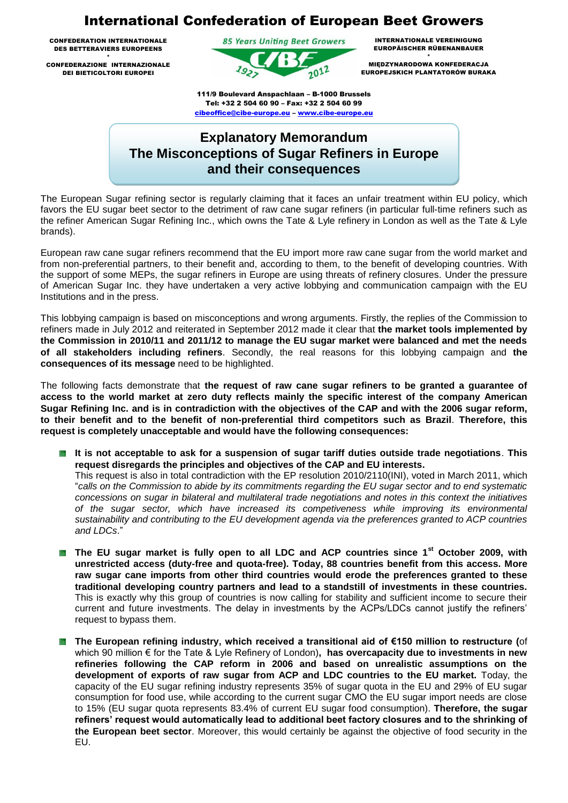## International Confederation of European Beet Growers

CONFEDERATION INTERNATIONALE DES BETTERAVIERS EUROPEENS

\* CONFEDERAZIONE INTERNAZIONALE DEI BIETICOLTORI EUROPEI



INTERNATIONALE VEREINIGUNG EUROPÄISCHER RÜBENANBAUER \*

MIĘDZYNARODOWA KONFEDERACJA EUROPEJSKICH PLANTATORÓW BURAKA

111/9 Boulevard Anspachlaan – B-1000 Brussels Tel: +32 2 504 60 90 – Fax: +32 2 504 60 99 cibeoffice@cibe-europe.eu – www.cibe-europe.eu

## **Explanatory Memorandum The Misconceptions of Sugar Refiners in Europe and their consequences**

The European Sugar refining sector is regularly claiming that it faces an unfair treatment within EU policy, which favors the EU sugar beet sector to the detriment of raw cane sugar refiners (in particular full-time refiners such as the refiner American Sugar Refining Inc., which owns the Tate & Lyle refinery in London as well as the Tate & Lyle brands).

European raw cane sugar refiners recommend that the EU import more raw cane sugar from the world market and from non-preferential partners, to their benefit and, according to them, to the benefit of developing countries. With the support of some MEPs, the sugar refiners in Europe are using threats of refinery closures. Under the pressure of American Sugar Inc. they have undertaken a very active lobbying and communication campaign with the EU Institutions and in the press.

This lobbying campaign is based on misconceptions and wrong arguments. Firstly, the replies of the Commission to refiners made in July 2012 and reiterated in September 2012 made it clear that **the market tools implemented by the Commission in 2010/11 and 2011/12 to manage the EU sugar market were balanced and met the needs of all stakeholders including refiners**. Secondly, the real reasons for this lobbying campaign and **the consequences of its message** need to be highlighted.

The following facts demonstrate that **the request of raw cane sugar refiners to be granted a guarantee of access to the world market at zero duty reflects mainly the specific interest of the company American Sugar Refining Inc. and is in contradiction with the objectives of the CAP and with the 2006 sugar reform, to their benefit and to the benefit of non-preferential third competitors such as Brazil**. **Therefore, this request is completely unacceptable and would have the following consequences:**

- **It is not acceptable to ask for a suspension of sugar tariff duties outside trade negotiations**. **This request disregards the principles and objectives of the CAP and EU interests.** This request is also in total contradiction with the EP resolution 2010/2110(INI), voted in March 2011, which "*calls on the Commission to abide by its commitments regarding the EU sugar sector and to end systematic concessions on sugar in bilateral and multilateral trade negotiations and notes in this context the initiatives of the sugar sector, which have increased its competiveness while improving its environmental sustainability and contributing to the EU development agenda via the preferences granted to ACP countries and LDCs*."
- **The EU sugar market is fully open to all LDC and ACP countries since 1<sup>st</sup> October 2009, with unrestricted access (duty-free and quota-free). Today, 88 countries benefit from this access. More raw sugar cane imports from other third countries would erode the preferences granted to these traditional developing country partners and lead to a standstill of investments in these countries.**  This is exactly why this group of countries is now calling for stability and sufficient income to secure their current and future investments. The delay in investments by the ACPs/LDCs cannot justify the refiners' request to bypass them.
- 蒾 **The European refining industry, which received a transitional aid of €150 million to restructure (**of which 90 million € for the Tate & Lyle Refinery of London)**, has overcapacity due to investments in new refineries following the CAP reform in 2006 and based on unrealistic assumptions on the development of exports of raw sugar from ACP and LDC countries to the EU market.** Today, the capacity of the EU sugar refining industry represents 35% of sugar quota in the EU and 29% of EU sugar consumption for food use, while according to the current sugar CMO the EU sugar import needs are close to 15% (EU sugar quota represents 83.4% of current EU sugar food consumption). **Therefore, the sugar refiners' request would automatically lead to additional beet factory closures and to the shrinking of the European beet sector**. Moreover, this would certainly be against the objective of food security in the EU.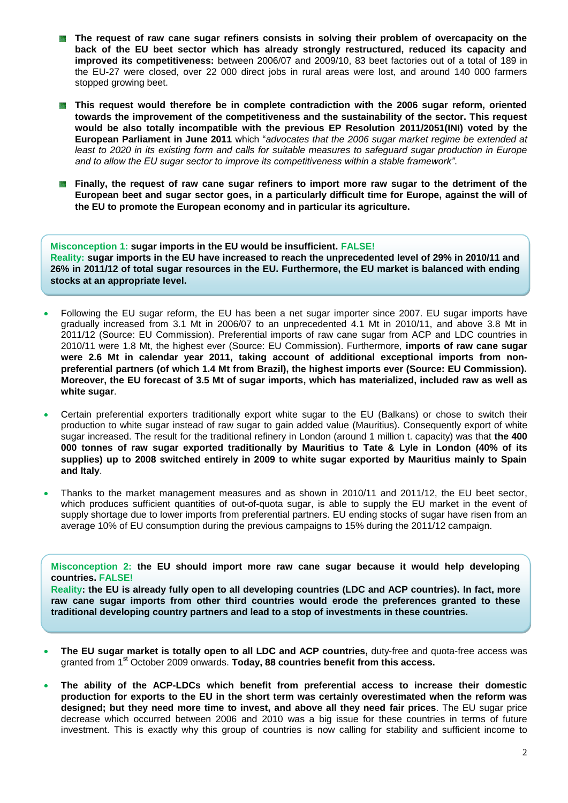- **The request of raw cane sugar refiners consists in solving their problem of overcapacity on the back of the EU beet sector which has already strongly restructured, reduced its capacity and improved its competitiveness:** between 2006/07 and 2009/10, 83 beet factories out of a total of 189 in the EU-27 were closed, over 22 000 direct jobs in rural areas were lost, and around 140 000 farmers stopped growing beet.
- **This request would therefore be in complete contradiction with the 2006 sugar reform, oriented towards the improvement of the competitiveness and the sustainability of the sector. This request would be also totally incompatible with the previous EP Resolution 2011/2051(INI) voted by the European Parliament in June 2011** which "*advocates that the 2006 sugar market regime be extended at least to 2020 in its existing form and calls for suitable measures to safeguard sugar production in Europe and to allow the EU sugar sector to improve its competitiveness within a stable framework"*.
- **Finally, the request of raw cane sugar refiners to import more raw sugar to the detriment of the European beet and sugar sector goes, in a particularly difficult time for Europe, against the will of the EU to promote the European economy and in particular its agriculture.**

**Misconception 1: sugar imports in the EU would be insufficient. FALSE! Reality: sugar imports in the EU have increased to reach the unprecedented level of 29% in 2010/11 and 26% in 2011/12 of total sugar resources in the EU. Furthermore, the EU market is balanced with ending stocks at an appropriate level.**

- Following the EU sugar reform, the EU has been a net sugar importer since 2007. EU sugar imports have gradually increased from 3.1 Mt in 2006/07 to an unprecedented 4.1 Mt in 2010/11, and above 3.8 Mt in 2011/12 (Source: EU Commission). Preferential imports of raw cane sugar from ACP and LDC countries in 2010/11 were 1.8 Mt, the highest ever (Source: EU Commission). Furthermore, **imports of raw cane sugar were 2.6 Mt in calendar year 2011, taking account of additional exceptional imports from nonpreferential partners (of which 1.4 Mt from Brazil), the highest imports ever (Source: EU Commission). Moreover, the EU forecast of 3.5 Mt of sugar imports, which has materialized, included raw as well as white sugar**.
- Certain preferential exporters traditionally export white sugar to the EU (Balkans) or chose to switch their production to white sugar instead of raw sugar to gain added value (Mauritius). Consequently export of white sugar increased. The result for the traditional refinery in London (around 1 million t. capacity) was that **the 400 000 tonnes of raw sugar exported traditionally by Mauritius to Tate & Lyle in London (40% of its supplies) up to 2008 switched entirely in 2009 to white sugar exported by Mauritius mainly to Spain and Italy**.
- Thanks to the market management measures and as shown in 2010/11 and 2011/12, the EU beet sector, which produces sufficient quantities of out-of-quota sugar, is able to supply the EU market in the event of supply shortage due to lower imports from preferential partners. EU ending stocks of sugar have risen from an average 10% of EU consumption during the previous campaigns to 15% during the 2011/12 campaign.

**Misconception 2: the EU should import more raw cane sugar because it would help developing countries. FALSE!**

**Reality: the EU is already fully open to all developing countries (LDC and ACP countries). In fact, more raw cane sugar imports from other third countries would erode the preferences granted to these traditional developing country partners and lead to a stop of investments in these countries.**

- **The EU sugar market is totally open to all LDC and ACP countries,** duty-free and quota-free access was granted from 1st October 2009 onwards. **Today, 88 countries benefit from this access.**
- **The ability of the ACP-LDCs which benefit from preferential access to increase their domestic production for exports to the EU in the short term was certainly overestimated when the reform was designed; but they need more time to invest, and above all they need fair prices**. The EU sugar price decrease which occurred between 2006 and 2010 was a big issue for these countries in terms of future investment. This is exactly why this group of countries is now calling for stability and sufficient income to